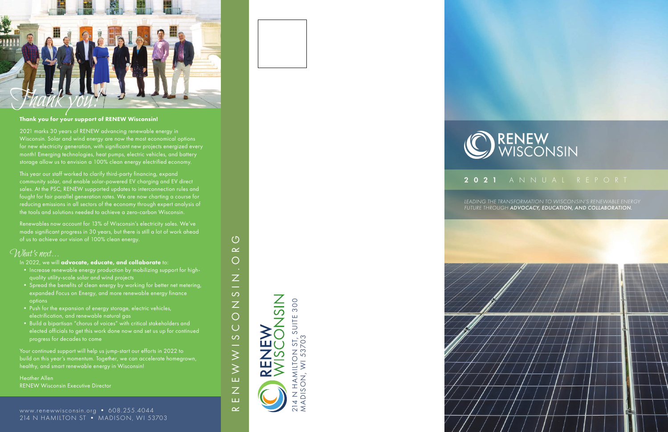### 2021 ANNUAL REPORT

www.renewwisconsin.org • 608.255.4044 214 N HAMILTON ST • MADISON, WI 53703





*LEADING THE TRANSFORMATION TO WISCONSIN'S RENEWABLE ENERGY FUTURE THROUGH ADVOCACY, EDUCATION, AND COLLABORATION.*



214 N HAMILTON ST, SUITE 300

SUITE 300

MADISON, WI 53703

 $\overline{O}$ 

NADI

 $\overline{0}3$ 





# RENEW<br>WISCONSIN

#### Thank you for your support of RENEW Wisconsin!

2021 marks 30 years of RENEW advancing renewable energy in Wisconsin. Solar and wind energy are now the most economical options for new electricity generation, with significant new projects energized every month! Emerging technologies, heat pumps, electric vehicles, and battery storage allow us to envision a 100% clean energy electrified economy.

This year our staff worked to clarify third-party financing, expand community solar, and enable solar-powered EV charging and EV direct sales. At the PSC, RENEW supported updates to interconnection rules and fought for fair parallel generation rates. We are now charting a course for reducing emissions in all sectors of the economy through expert analysis of the tools and solutions needed to achieve a zero-carbon Wisconsin.

Your continued support will help us jump-start our efforts in 2022 to build on this year's momentum. Together, we can accelerate homegrown, healthy, and smart renewable energy in Wisconsin!

Renewables now account for 13% of Wisconsin's electricity sales. We've made significant progress in 30 years, but there is still a lot of work ahead of us to achieve our vision of 100% clean energy.

### What's next...

In 2022, we will advocate, educate, and collaborate to:

- Increase renewable energy production by mobilizing support for highquality utility-scale solar and wind projects
- Spread the benefits of clean energy by working for better net metering, expanded Focus on Energy, and more renewable energy finance options
- Push for the expansion of energy storage, electric vehicles, electrification, and renewable natural gas
- Build a bipartisan "chorus of voices" with critical stakeholders and elected officials to get this work done now and set us up for continued progress for decades to come

Heather Allen RENEW Wisconsin Executive Director